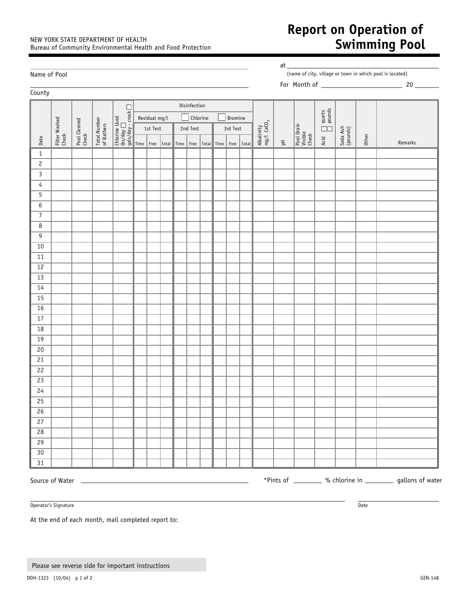## NEW YORK STATE DEPARTMENT OF HEALTH Bureau of Community Environmental Health and Food Protection

## **Report on Operation of Swimming Pool**

| Name of Pool        |                        |                       |                            |  |               |                           |  |            |  |  |                     | at<br>(name of city, village or town in which pool is located) |       |                                      |                    |                                |                    |                      |       |         |
|---------------------|------------------------|-----------------------|----------------------------|--|---------------|---------------------------|--|------------|--|--|---------------------|----------------------------------------------------------------|-------|--------------------------------------|--------------------|--------------------------------|--------------------|----------------------|-------|---------|
| County              |                        |                       |                            |  |               |                           |  |            |  |  |                     |                                                                |       |                                      |                    |                                |                    |                      |       |         |
| Disinfection        |                        |                       |                            |  |               |                           |  |            |  |  |                     |                                                                |       |                                      |                    |                                |                    |                      |       |         |
| Date                | Fitter Washed<br>Check | Pool Cleaned<br>Check | Total Number<br>of Bathers |  |               | Chlorine<br>Residual mg/l |  |            |  |  | Bromine             |                                                                |       |                                      |                    |                                |                    |                      |       |         |
|                     |                        |                       |                            |  | 1st Test      |                           |  | 2nd Test   |  |  | 3rd Test            |                                                                |       | Alkalinity<br>mg/l CaCO <sub>3</sub> |                    |                                | Acid $\Box$ quarts |                      |       |         |
|                     |                        |                       |                            |  |               |                           |  |            |  |  |                     |                                                                |       |                                      |                    | Pool Drain<br>Visible<br>Check |                    | Soda Ash<br>(pounds) | Other |         |
|                     |                        |                       |                            |  | $Time$   Free |                           |  | Total Time |  |  | Free   Total   Time | Free                                                           | Total |                                      | $\frac{1}{\Delta}$ |                                |                    |                      |       | Remarks |
| $\,1\,$             |                        |                       |                            |  |               |                           |  |            |  |  |                     |                                                                |       |                                      |                    |                                |                    |                      |       |         |
| $\mathbf{2}$        |                        |                       |                            |  |               |                           |  |            |  |  |                     |                                                                |       |                                      |                    |                                |                    |                      |       |         |
| $\mathbf{3}$        |                        |                       |                            |  |               |                           |  |            |  |  |                     |                                                                |       |                                      |                    |                                |                    |                      |       |         |
| 4                   |                        |                       |                            |  |               |                           |  |            |  |  |                     |                                                                |       |                                      |                    |                                |                    |                      |       |         |
| $\overline{5}$      |                        |                       |                            |  |               |                           |  |            |  |  |                     |                                                                |       |                                      |                    |                                |                    |                      |       |         |
| $\boldsymbol{6}$    |                        |                       |                            |  |               |                           |  |            |  |  |                     |                                                                |       |                                      |                    |                                |                    |                      |       |         |
| $\overline{7}$      |                        |                       |                            |  |               |                           |  |            |  |  |                     |                                                                |       |                                      |                    |                                |                    |                      |       |         |
| 8<br>$\overline{9}$ |                        |                       |                            |  |               |                           |  |            |  |  |                     |                                                                |       |                                      |                    |                                |                    |                      |       |         |
| $10$                |                        |                       |                            |  |               |                           |  |            |  |  |                     |                                                                |       |                                      |                    |                                |                    |                      |       |         |
| 11                  |                        |                       |                            |  |               |                           |  |            |  |  |                     |                                                                |       |                                      |                    |                                |                    |                      |       |         |
| 12                  |                        |                       |                            |  |               |                           |  |            |  |  |                     |                                                                |       |                                      |                    |                                |                    |                      |       |         |
| 13                  |                        |                       |                            |  |               |                           |  |            |  |  |                     |                                                                |       |                                      |                    |                                |                    |                      |       |         |
| 14                  |                        |                       |                            |  |               |                           |  |            |  |  |                     |                                                                |       |                                      |                    |                                |                    |                      |       |         |
| 15                  |                        |                       |                            |  |               |                           |  |            |  |  |                     |                                                                |       |                                      |                    |                                |                    |                      |       |         |
| 16                  |                        |                       |                            |  |               |                           |  |            |  |  |                     |                                                                |       |                                      |                    |                                |                    |                      |       |         |
| $17$                |                        |                       |                            |  |               |                           |  |            |  |  |                     |                                                                |       |                                      |                    |                                |                    |                      |       |         |
| $18\,$              |                        |                       |                            |  |               |                           |  |            |  |  |                     |                                                                |       |                                      |                    |                                |                    |                      |       |         |
| 19                  |                        |                       |                            |  |               |                           |  |            |  |  |                     |                                                                |       |                                      |                    |                                |                    |                      |       |         |
| $20\,$              |                        |                       |                            |  |               |                           |  |            |  |  |                     |                                                                |       |                                      |                    |                                |                    |                      |       |         |
| 21                  |                        |                       |                            |  |               |                           |  |            |  |  |                     |                                                                |       |                                      |                    |                                |                    |                      |       |         |
| 22                  |                        |                       |                            |  |               |                           |  |            |  |  |                     |                                                                |       |                                      |                    |                                |                    |                      |       |         |
| 23                  |                        |                       |                            |  |               |                           |  |            |  |  |                     |                                                                |       |                                      |                    |                                |                    |                      |       |         |
| 24                  |                        |                       |                            |  |               |                           |  |            |  |  |                     |                                                                |       |                                      |                    |                                |                    |                      |       |         |
| 25                  |                        |                       |                            |  |               |                           |  |            |  |  |                     |                                                                |       |                                      |                    |                                |                    |                      |       |         |
| 26                  |                        |                       |                            |  |               |                           |  |            |  |  |                     |                                                                |       |                                      |                    |                                |                    |                      |       |         |
| 27                  |                        |                       |                            |  |               |                           |  |            |  |  |                     |                                                                |       |                                      |                    |                                |                    |                      |       |         |
| 28                  |                        |                       |                            |  |               |                           |  |            |  |  |                     |                                                                |       |                                      |                    |                                |                    |                      |       |         |
| $\overline{29}$     |                        |                       |                            |  |               |                           |  |            |  |  |                     |                                                                |       |                                      |                    |                                |                    |                      |       |         |
| 30 <sup>°</sup>     |                        |                       |                            |  |               |                           |  |            |  |  |                     |                                                                |       |                                      |                    |                                |                    |                      |       |         |
| $\overline{31}$     |                        |                       |                            |  |               |                           |  |            |  |  |                     |                                                                |       |                                      |                    |                                |                    |                      |       |         |

Operator's Signature Date of the Date of the Date of the Date of the Date of the Date of the Date of the Date of the Date of the Date of the Date of the Date of the Date of the Date of the Date of the Date of the Date of t

At the end of each month, mail completed report to: